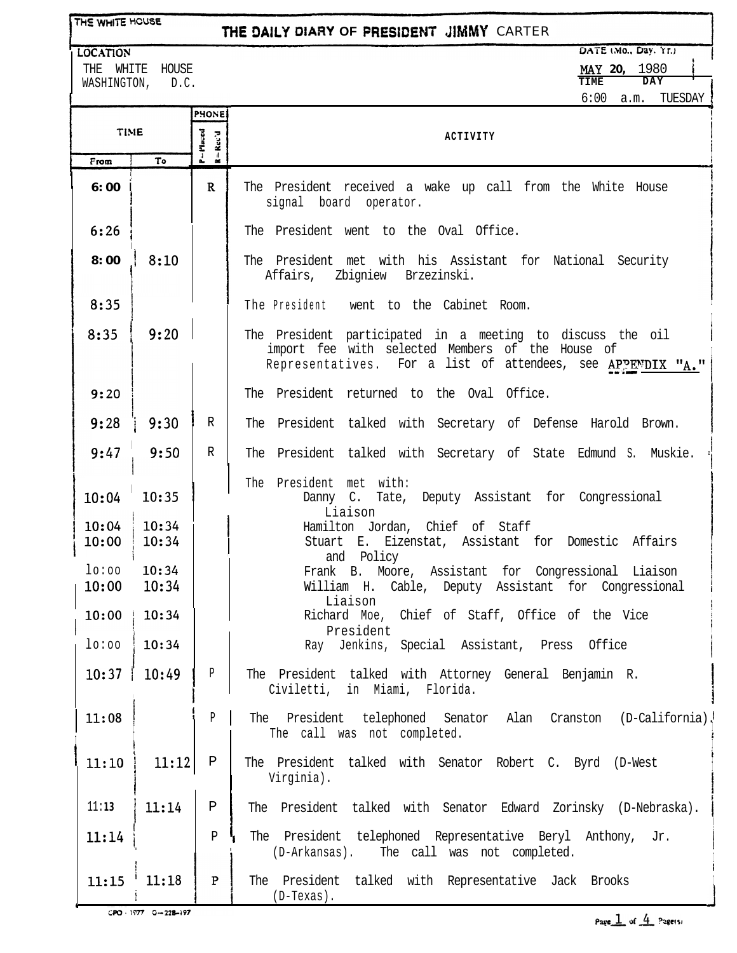THE WHITE HOUSE

## **THE DAILY DIARY OF PRESIDENT JIMMY CARTER**

**LOCATION** THE WHITE HOUSE

WASHINGTON, D.C.

DATE (Mo., Day, Yr.) **my 20,** 1980 **TIME DAY**

6:00 a.m. TUESDAY

1

|                |                 | <b>PHONE</b>                                                              |                                                                                                                                                                               |
|----------------|-----------------|---------------------------------------------------------------------------|-------------------------------------------------------------------------------------------------------------------------------------------------------------------------------|
| <b>TIME</b>    |                 | $P = P$ laced<br>$\mathbf{R} = \mathbf{R}\mathbf{c}\mathbf{c}'\mathbf{d}$ | ACTIVITY                                                                                                                                                                      |
| From           | Τo              |                                                                           |                                                                                                                                                                               |
| 6:00           |                 | $\mathbf{R}$                                                              | The President received a wake up call from the White House<br>signal board operator.                                                                                          |
| 6:26           |                 |                                                                           | The President went to the Oval Office.                                                                                                                                        |
| 8:00           | 8:10            |                                                                           | The President met with his Assistant for National Security<br>Affairs, Zbigniew Brzezinski.                                                                                   |
| 8:35           |                 |                                                                           | The President went to the Cabinet Room.                                                                                                                                       |
| 8:35           | 9:20            |                                                                           | The President participated in a meeting to discuss the oil<br>import fee with selected Members of the House of<br>Representatives. For a list of attendees, see APPENDIX "A." |
| 9:20           |                 |                                                                           | The President returned to the Oval Office.                                                                                                                                    |
| 9:28           | 9:30            | R                                                                         | The President talked with Secretary of Defense Harold Brown.                                                                                                                  |
| 9:47           | 9:50            | R                                                                         | The President talked with Secretary of State Edmund S. Muskie.                                                                                                                |
| 10:04          | 10:35           |                                                                           | The President met with:<br>Danny C. Tate, Deputy Assistant for Congressional<br>Liaison                                                                                       |
| 10:04<br>10:00 | 10:34<br>10:34  |                                                                           | Hamilton Jordan, Chief of Staff<br>Stuart E. Eizenstat, Assistant for Domestic Affairs<br>and Policy                                                                          |
| lo:oo<br>10:00 | 10:34<br>10:34  |                                                                           | Frank B. Moore, Assistant for Congressional Liaison<br>William H. Cable, Deputy Assistant for Congressional<br>Liaison                                                        |
| 10:00          | 10:34           |                                                                           | Richard Moe, Chief of Staff, Office of the Vice<br>President                                                                                                                  |
| 10:00          | 10:34           |                                                                           | Ray Jenkins, Special Assistant, Press Office                                                                                                                                  |
| 10:37          | 10:49           | Р                                                                         | The President talked with Attorney General Benjamin R.<br>Civiletti, in Miami, Florida.                                                                                       |
| 11:08          |                 | $\, {\bf p}$                                                              | The President telephoned Senator Alan Cranston (D-California).<br>The call was not completed.                                                                                 |
| 11:10          | 11:12           | Ρ                                                                         | The President talked with Senator Robert C. Byrd (D-West<br>Virginia).                                                                                                        |
| 11:13          | 11:14           | $\, {\bf P}$                                                              | The President talked with Senator Edward Zorinsky (D-Nebraska).                                                                                                               |
| 11:14          |                 | $\, {\bf p}$                                                              | The President telephoned Representative Beryl Anthony, Jr.<br>The call was not completed.<br>(D-Arkansas).                                                                    |
|                | $11:15$ $11:18$ | $\mathbf{P}$                                                              | The President talked with Representative Jack Brooks<br>$(D-Texas)$ .                                                                                                         |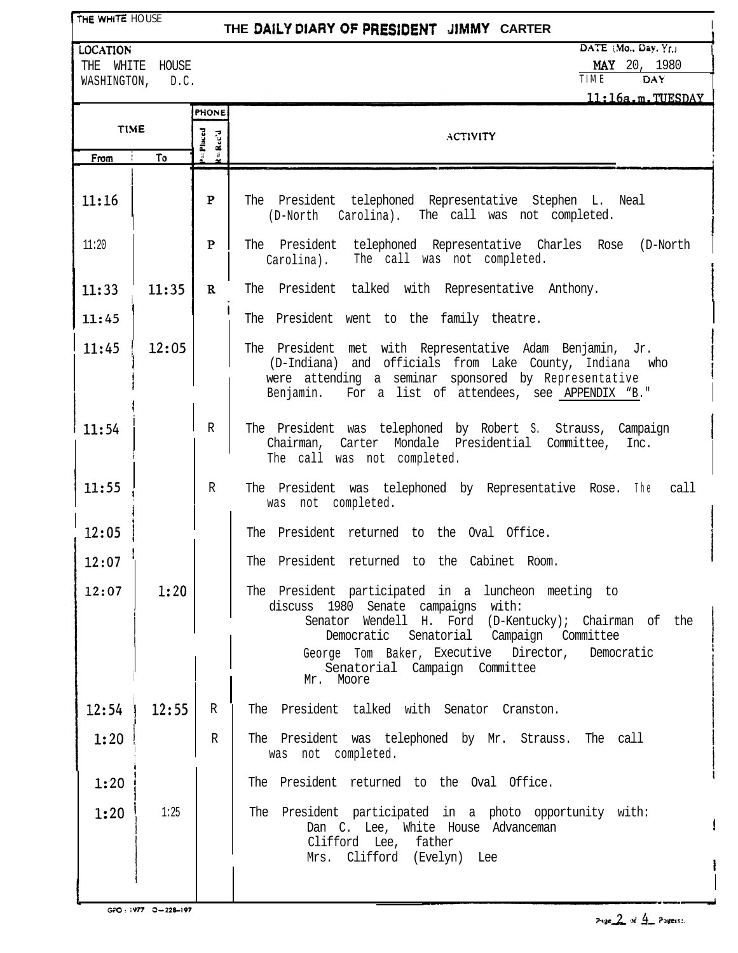THE WHITE HOUSE

## **THE DA&Y OIARY OF** PRES1DENT UMMY **CARTER <sup>I</sup>**

**LOCATION** DATE :.Mo., Day, Y<sub>r.j</sub>

THE WHITE HOUSE THE WHITE HOUSE THE MAY 20, 1980  $N$ MASHINGTON, D.C.

| 11:16a.m.TUESDAY |       |                 |                                                                                                                                                                                                                                                                                                         |  |  |
|------------------|-------|-----------------|---------------------------------------------------------------------------------------------------------------------------------------------------------------------------------------------------------------------------------------------------------------------------------------------------------|--|--|
| <b>TIME</b>      |       | <b>PHONE</b>    |                                                                                                                                                                                                                                                                                                         |  |  |
|                  |       | Placed<br>Rec'd | <b>ACTIVITY</b>                                                                                                                                                                                                                                                                                         |  |  |
| From             | To    |                 |                                                                                                                                                                                                                                                                                                         |  |  |
| 11:16            |       | $\mathbf{P}$    | The President telephoned Representative Stephen L. Neal<br>(D-North Carolina). The call was not completed.                                                                                                                                                                                              |  |  |
| 11:20            |       | $\mathbf{P}$    | The President telephoned Representative Charles Rose<br>(D-North<br>The call was not completed.<br>Carolina).                                                                                                                                                                                           |  |  |
| 11:33            | 11:35 | $\mathbf R$     | The President talked with Representative Anthony.                                                                                                                                                                                                                                                       |  |  |
| 11:45            |       |                 | The President went to the family theatre.                                                                                                                                                                                                                                                               |  |  |
| 11:45            | 12:05 |                 | The President met with Representative Adam Benjamin, Jr.<br>and officials from Lake County, Indiana<br>(D-Indiana)<br>who<br>were attending a seminar sponsored by Representative<br>For a list of attendees, see APPENDIX "B."<br>Benjamin.                                                            |  |  |
| 11:54            |       | R               | The President was telephoned by Robert S. Strauss, Campaign<br>Chairman, Carter Mondale Presidential Committee, Inc.<br>The call was not completed.                                                                                                                                                     |  |  |
| 11:55            |       | R               | The President was telephoned by Representative Rose. The<br>call<br>was not completed.                                                                                                                                                                                                                  |  |  |
| 12:05            |       |                 | The President returned to the Oval Office.                                                                                                                                                                                                                                                              |  |  |
| 12:07            |       |                 | The President returned to the Cabinet Room.                                                                                                                                                                                                                                                             |  |  |
| 12:07            | 1:20  |                 | The President participated in a luncheon meeting to<br>discuss 1980 Senate campaigns with:<br>Wendell H. Ford (D-Kentucky); Chairman of the<br>Senator<br>Democratic Senatorial Campaign Committee<br>George Tom Baker, Executive Director,<br>Democratic<br>Senatorial Campaign Committee<br>Mr. Moore |  |  |
| 12:54            | 12:55 | R               | The President talked with Senator Cranston.                                                                                                                                                                                                                                                             |  |  |
| 1:20             |       | $\mathbb R$     | The President was telephoned by Mr. Strauss.<br>The call<br>was not completed.                                                                                                                                                                                                                          |  |  |
| 1:20             |       |                 | The President returned to the Oval Office.                                                                                                                                                                                                                                                              |  |  |
| 1:20             | 1:25  |                 | The President participated in a photo opportunity with:<br>Dan C. Lee, White House Advanceman<br>Clifford Lee, father<br>Mrs. Clifford (Evelyn) Lee                                                                                                                                                     |  |  |

- 1

ł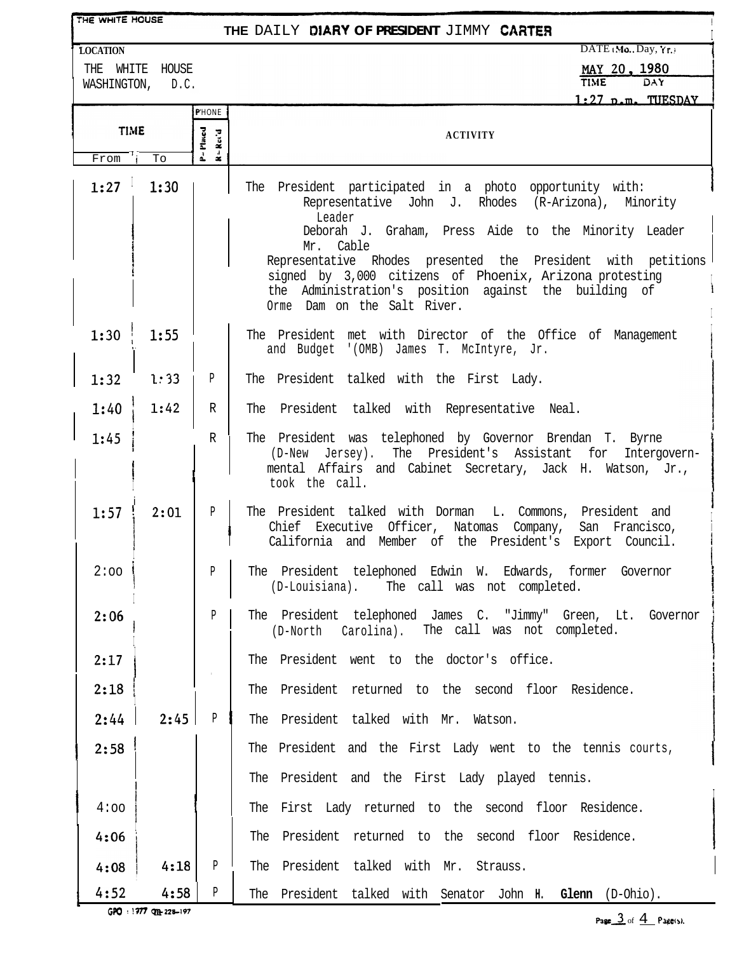| THE WHITE HOUSE<br>THE DAILY DIARY OF PRESIDENT JIMMY CARTER |                 |                                                                              |                                                                                                                                                                                                                     |  |  |  |
|--------------------------------------------------------------|-----------------|------------------------------------------------------------------------------|---------------------------------------------------------------------------------------------------------------------------------------------------------------------------------------------------------------------|--|--|--|
| <b>LOCATION</b>                                              |                 |                                                                              | DATE Mo., Day, Yr.                                                                                                                                                                                                  |  |  |  |
|                                                              | THE WHITE HOUSE |                                                                              | MAY 20, 1980                                                                                                                                                                                                        |  |  |  |
| WASHINGTON,                                                  | D.C.            |                                                                              | <b>TIME</b><br>DAY<br>$1:27$ p.m. TUESDAY                                                                                                                                                                           |  |  |  |
|                                                              |                 | <b>P'HONE</b>                                                                |                                                                                                                                                                                                                     |  |  |  |
| <b>TIME</b>                                                  |                 | $P = P$ laced<br>$\mathbf{R} = \mathbf{R} \mathbf{c} \mathbf{c}' \mathbf{d}$ | <b>ACTIVITY</b>                                                                                                                                                                                                     |  |  |  |
| From                                                         | To              |                                                                              |                                                                                                                                                                                                                     |  |  |  |
| 1:27                                                         | 1:30            |                                                                              | The President participated in a photo opportunity with:<br>Representative John J. Rhodes (R-Arizona), Minority<br>Leader<br>Deborah J. Graham, Press Aide to the Minority Leader<br>Mr. Cable                       |  |  |  |
|                                                              |                 |                                                                              | Representative Rhodes presented the President with petitions<br>signed by 3,000 citizens of Phoenix, Arizona protesting<br>the Administration's position against the building of<br>Orme Dam on the Salt River.     |  |  |  |
| 1:30                                                         | 1:55            |                                                                              | The President met with Director of the Office of Management<br>and Budget '(OMB) James T. McIntyre, Jr.                                                                                                             |  |  |  |
| 1:32                                                         | 1:33            | $\mathbf{P}$                                                                 | The President talked with the First Lady.                                                                                                                                                                           |  |  |  |
| 1:40                                                         | 1:42            | R                                                                            | The President talked with Representative Neal.                                                                                                                                                                      |  |  |  |
| 1:45                                                         |                 | $\,$ R                                                                       | The President was telephoned by Governor Brendan T. Byrne<br>The President's Assistant<br>(D-New<br>Jersey).<br>for<br>Intergovern-<br>mental Affairs and Cabinet Secretary, Jack H. Watson, Jr.,<br>took the call. |  |  |  |
| 1:57                                                         | 2:01            | P                                                                            | The President talked with Dorman<br>L. Commons, President and<br>Chief Executive Officer, Natomas<br>Company,<br>San Francisco,<br>California and Member of the President's Export Council.                         |  |  |  |
| 2:00                                                         |                 | P                                                                            | The President telephoned Edwin W. Edwards, former Governor<br>(D-Louisiana). The call was not completed.                                                                                                            |  |  |  |
| 2:06                                                         |                 | $\mathbf{p}$                                                                 | The President telephoned James C. "Jimmy" Green, Lt. Governor<br>(D-North Carolina). The call was not completed.                                                                                                    |  |  |  |
| 2:17                                                         |                 | $\sim$                                                                       | The President went to the doctor's office.                                                                                                                                                                          |  |  |  |
| 2:18                                                         |                 |                                                                              | The President returned to the second floor Residence.                                                                                                                                                               |  |  |  |
| 2:44                                                         | 2:45            | P                                                                            | The President talked with Mr. Watson.                                                                                                                                                                               |  |  |  |
| 2:58                                                         |                 |                                                                              | The President and the First Lady went to the tennis courts,                                                                                                                                                         |  |  |  |
|                                                              |                 |                                                                              | The President and the First Lady played tennis.                                                                                                                                                                     |  |  |  |
| 4:00                                                         |                 |                                                                              | The First Lady returned to the second floor Residence.                                                                                                                                                              |  |  |  |
| 4:06                                                         |                 |                                                                              | The President returned to the second floor Residence.                                                                                                                                                               |  |  |  |
| 4:08                                                         | 4:18            | P                                                                            | The President talked with Mr. Strauss.                                                                                                                                                                              |  |  |  |
| 4:52                                                         | 4:58            | P                                                                            | The President talked with Senator John H. Glenn (D-Ohio).                                                                                                                                                           |  |  |  |

GPO : 1977 Qpt-228-197